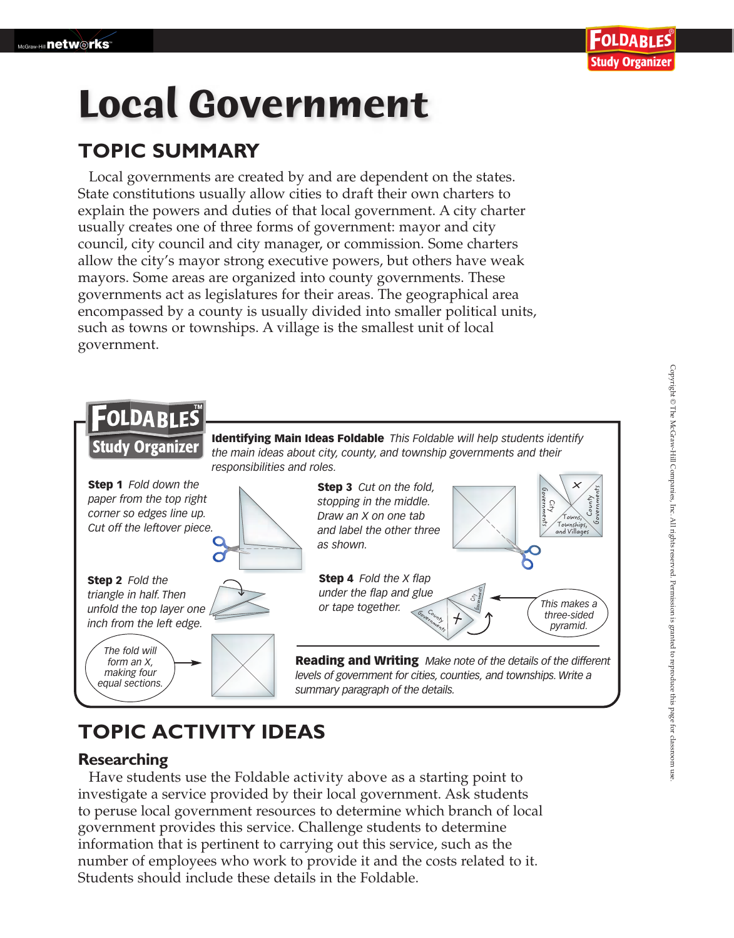# **Local Government**

## **TOPIC SUMMARY**

Local governments are created by and are dependent on the states. State constitutions usually allow cities to draft their own charters to explain the powers and duties of that local government. A city charter usually creates one of three forms of government: mayor and city council, city council and city manager, or commission. Some charters allow the city's mayor strong executive powers, but others have weak mayors. Some areas are organized into county governments. These governments act as legislatures for their areas. The geographical area encompassed by a county is usually divided into smaller political units, such as towns or townships. A village is the smallest unit of local government.



# **TOPIC ACTIVITY IDEAS**

## **Researching**

Have students use the Foldable activity above as a starting point to investigate a service provided by their local government. Ask students to peruse local government resources to determine which branch of local government provides this service. Challenge students to determine information that is pertinent to carrying out this service, such as the number of employees who work to provide it and the costs related to it. Students should include these details in the Foldable.